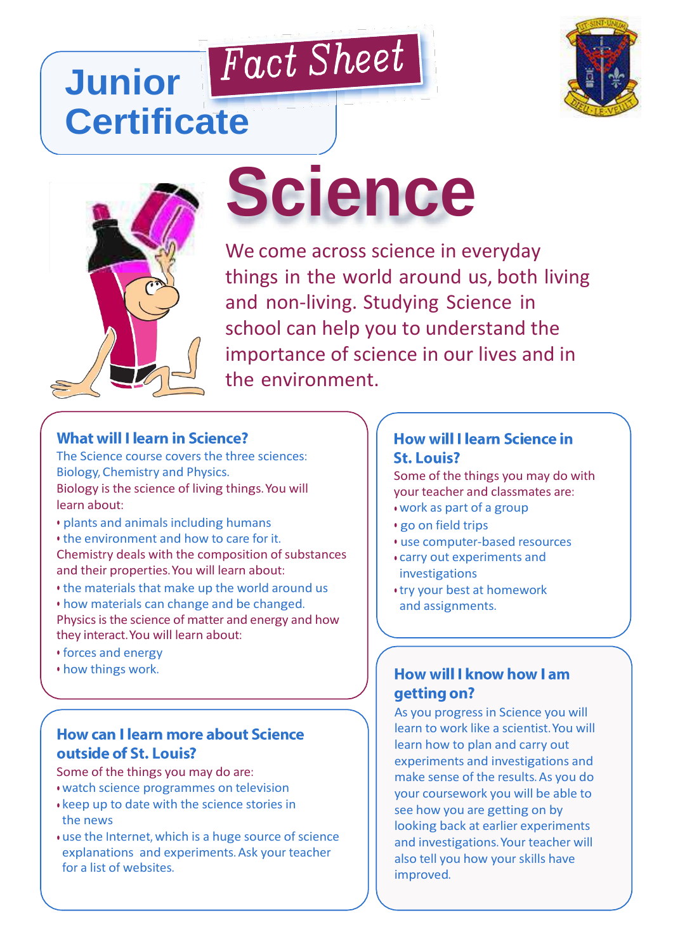# Fact Sheet **Junior Certificate**





# **Science**

We come across science in everyday things in the world around us, both living and non-living. Studying Science in school can help you to understand the importance of science in our lives and in the environment.

# **What will I learn in Science?**

The Science course covers the three sciences: Biology, Chemistry and Physics. Biology is the science of living things.You will learn about:

- plants and animals including humans
- the environment and how to care for it. Chemistry deals with the composition of substances and their properties.You will learn about:
- the materials that make up the world around us
- how materials can change and be changed.

Physics is the science of matter and energy and how they interact.You will learn about:

- forces and energy
- how things work.

#### How can I learn more about Science outside of St. Louis?

- Some of the things you may do are: • watch science programmes on television
- keep up to date with the science stories in the news
- use the Internet, which is a huge source of science explanations and experiments. Ask your teacher for a list of websites.

#### **How will I learn Science in St. Louis?**

Some of the things you may do with your teacher and classmates are:

- work as part of a group
- go on field trips
- use computer-based resources
- carry out experiments and investigations
- try your best at homework and assignments.

#### **How will I know how I am** getting on?

As you progress in Science you will learn to work like a scientist.You will learn how to plan and carry out experiments and investigations and make sense of the results. As you do your coursework you will be able to see how you are getting on by looking back at earlier experiments and investigations.Your teacher will also tell you how your skills have improved.